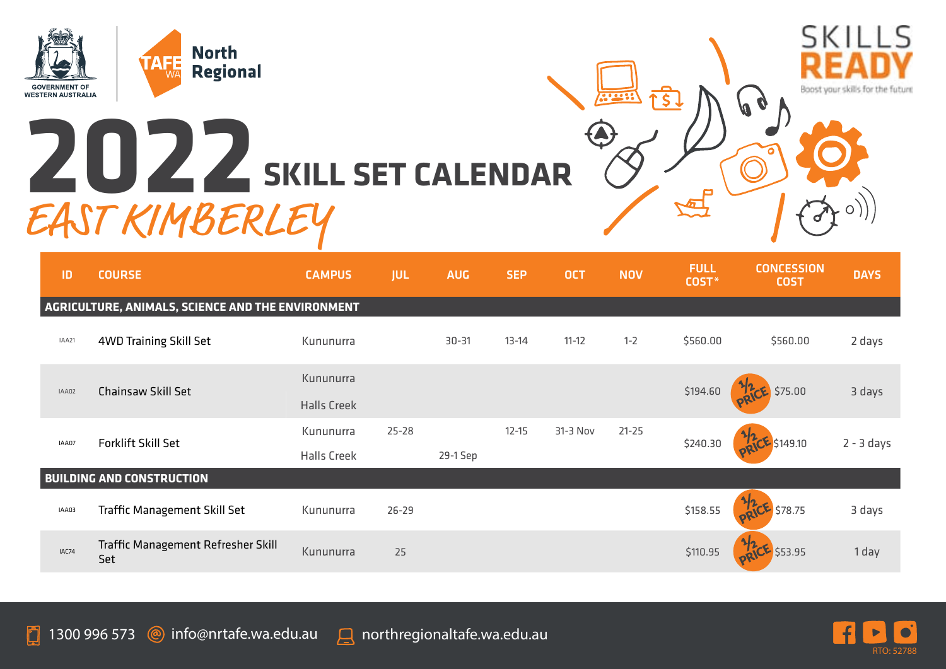

## **2022 SKILL SET CALENDAR** EAST KIMBERLEY



| ID                                                | <b>COURSE</b>                             | <b>CAMPUS</b>      | <b>JUL</b> | <b>AUG</b> | <b>SEP</b> | <b>OCT</b> | <b>NOV</b> | <b>FULL</b><br>COST* | <b>CONCESSION</b><br><b>COST</b> | <b>DAYS</b>  |  |
|---------------------------------------------------|-------------------------------------------|--------------------|------------|------------|------------|------------|------------|----------------------|----------------------------------|--------------|--|
| AGRICULTURE, ANIMALS, SCIENCE AND THE ENVIRONMENT |                                           |                    |            |            |            |            |            |                      |                                  |              |  |
| IAA21                                             | 4WD Training Skill Set                    | Kununurra          |            | $30 - 31$  | $13 - 14$  | $11 - 12$  | $1 - 2$    | \$560.00             | \$560.00                         | 2 days       |  |
| IAA02                                             | Chainsaw Skill Set                        | Kununurra          |            |            |            |            |            |                      |                                  |              |  |
|                                                   |                                           | <b>Halls Creek</b> |            |            |            |            |            | \$194.60             | \$75.00                          | 3 days       |  |
| IAA07                                             | Forklift Skill Set                        | Kununurra          | $25 - 28$  |            | $12 - 15$  | 31-3 Nov   | $21 - 25$  | \$240.30             | \$149.10                         | $2 - 3$ days |  |
|                                                   |                                           | <b>Halls Creek</b> |            | 29-1 Sep   |            |            |            |                      |                                  |              |  |
| <b>BUILDING AND CONSTRUCTION</b>                  |                                           |                    |            |            |            |            |            |                      |                                  |              |  |
| IAA03                                             | Traffic Management Skill Set              | Kununurra          | $26 - 29$  |            |            |            |            | \$158.55             | \$78.75                          | 3 days       |  |
| IAC74                                             | Traffic Management Refresher Skill<br>Set | Kununurra          | 25         |            |            |            |            | \$110.95             | \$53.95                          | 1 day        |  |